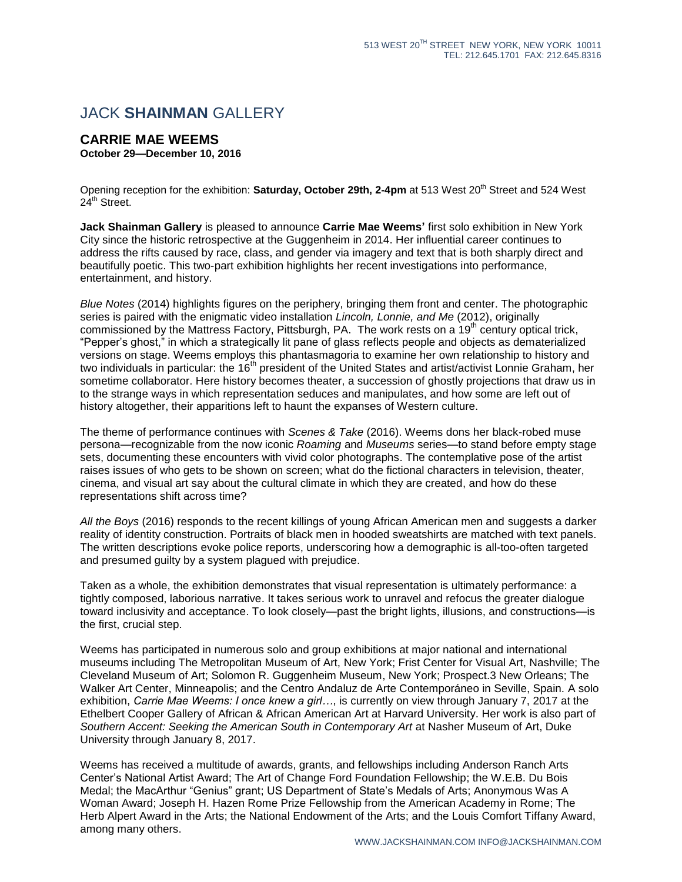## JACK **SHAINMAN** GALLERY

## **CARRIE MAE WEEMS October 29—December 10, 2016**

Opening reception for the exhibition: **Saturday, October 29th, 2-4pm** at 513 West 20<sup>th</sup> Street and 524 West  $24<sup>th</sup>$  Street.

**Jack Shainman Gallery** is pleased to announce **Carrie Mae Weems'** first solo exhibition in New York City since the historic retrospective at the Guggenheim in 2014. Her influential career continues to address the rifts caused by race, class, and gender via imagery and text that is both sharply direct and beautifully poetic. This two-part exhibition highlights her recent investigations into performance, entertainment, and history.

*Blue Notes* (2014) highlights figures on the periphery, bringing them front and center. The photographic series is paired with the enigmatic video installation *Lincoln, Lonnie, and Me* (2012), originally commissioned by the Mattress Factory, Pittsburgh, PA. The work rests on a 19<sup>th</sup> century optical trick, "Pepper's ghost," in which a strategically lit pane of glass reflects people and objects as dematerialized versions on stage. Weems employs this phantasmagoria to examine her own relationship to history and two individuals in particular: the 16<sup>th</sup> president of the United States and artist/activist Lonnie Graham, her sometime collaborator. Here history becomes theater, a succession of ghostly projections that draw us in to the strange ways in which representation seduces and manipulates, and how some are left out of history altogether, their apparitions left to haunt the expanses of Western culture.

The theme of performance continues with *Scenes & Take* (2016). Weems dons her black-robed muse persona—recognizable from the now iconic *Roaming* and *Museums* series—to stand before empty stage sets, documenting these encounters with vivid color photographs. The contemplative pose of the artist raises issues of who gets to be shown on screen; what do the fictional characters in television, theater, cinema, and visual art say about the cultural climate in which they are created, and how do these representations shift across time?

*All the Boys* (2016) responds to the recent killings of young African American men and suggests a darker reality of identity construction. Portraits of black men in hooded sweatshirts are matched with text panels. The written descriptions evoke police reports, underscoring how a demographic is all-too-often targeted and presumed guilty by a system plagued with prejudice.

Taken as a whole, the exhibition demonstrates that visual representation is ultimately performance: a tightly composed, laborious narrative. It takes serious work to unravel and refocus the greater dialogue toward inclusivity and acceptance. To look closely—past the bright lights, illusions, and constructions—is the first, crucial step.

Weems has participated in numerous solo and group exhibitions at major national and international museums including The Metropolitan Museum of Art, New York; Frist Center for Visual Art, Nashville; The Cleveland Museum of Art; Solomon R. Guggenheim Museum, New York; Prospect.3 New Orleans; The Walker Art Center, Minneapolis; and the Centro Andaluz de Arte Contemporáneo in Seville, Spain. A solo exhibition, *Carrie Mae Weems: I once knew a girl…*, is currently on view through January 7, 2017 at the Ethelbert Cooper Gallery of African & African American Art at Harvard University. Her work is also part of *Southern Accent: Seeking the American South in Contemporary Art* at Nasher Museum of Art, Duke University through January 8, 2017.

Weems has received a multitude of awards, grants, and fellowships including Anderson Ranch Arts Center's National Artist Award; The Art of Change Ford Foundation Fellowship; the W.E.B. Du Bois Medal; the MacArthur "Genius" grant; US Department of State's Medals of Arts; Anonymous Was A Woman Award; Joseph H. Hazen Rome Prize Fellowship from the American Academy in Rome; The Herb Alpert Award in the Arts; the National Endowment of the Arts; and the Louis Comfort Tiffany Award, among many others.